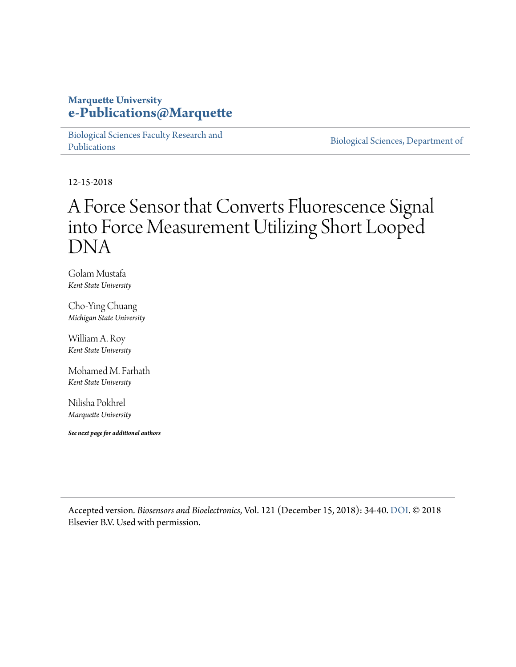#### **Marquette University [e-Publications@Marquette](https://epublications.marquette.edu)**

[Biological Sciences Faculty Research and](https://epublications.marquette.edu/bio_fac) [Publications](https://epublications.marquette.edu/bio_fac)

[Biological Sciences, Department of](https://epublications.marquette.edu/biology)

12-15-2018

# A Force Sensor that Converts Fluorescence Signal into Force Measurement Utilizing Short Looped DNA

Golam Mustafa *Kent State University*

Cho-Ying Chuang *Michigan State University*

William A. Roy *Kent State University*

Mohamed M. Farhath *Kent State University*

Nilisha Pokhrel *Marquette University*

*See next page for additional authors*

Accepted version*. Biosensors and Bioelectronics*, Vol. 121 (December 15, 2018): 34-40. [DOI.](https://doi.org/10.1016/j.bios.2018.08.073) © 2018 Elsevier B.V. Used with permission.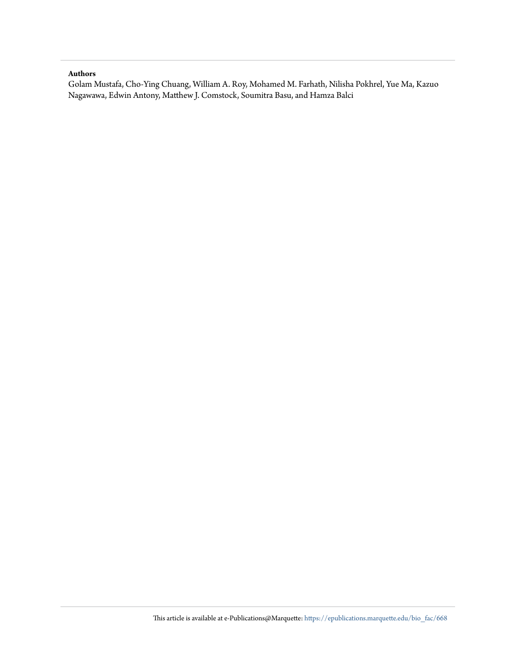#### **Authors**

Golam Mustafa, Cho-Ying Chuang, William A. Roy, Mohamed M. Farhath, Nilisha Pokhrel, Yue Ma, Kazuo Nagawawa, Edwin Antony, Matthew J. Comstock, Soumitra Basu, and Hamza Balci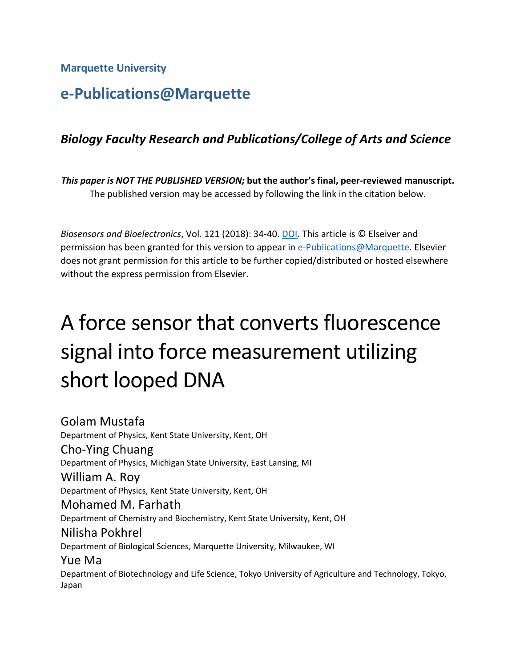**Marquette University**

Japan

# **e-Publications@Marquette**

## *Biology Faculty Research and Publications/College of Arts and Science*

*This paper is NOT THE PUBLISHED VERSION;* **but the author's final, peer-reviewed manuscript.**  The published version may be accessed by following the link in the citation below.

*Biosensors and Bioelectronics*, Vol. 121 (2018): 34-40[. DOI.](https://doi.org/10.1016/j.bios.2018.08.073) This article is © Elseiver and permission has been granted for this version to appear in [e-Publications@Marquette.](http://epublications.marquette.edu/) Elsevier does not grant permission for this article to be further copied/distributed or hosted elsewhere without the express permission from Elsevier.

# A force sensor that converts fluorescence signal into force measurement utilizing short looped DNA

Golam Mustafa Department of Physics, Kent State University, Kent, OH Cho-Ying Chuang Department of Physics, Michigan State University, East Lansing, MI William A. Roy Department of Physics, Kent State University, Kent, OH Mohamed M. Farhath Department of Chemistry and Biochemistry, Kent State University, Kent, OH Nilisha Pokhrel Department of Biological Sciences, Marquette University, Milwaukee, WI Yue Ma Department of Biotechnology and Life Science, Tokyo University of Agriculture and Technology, Tokyo,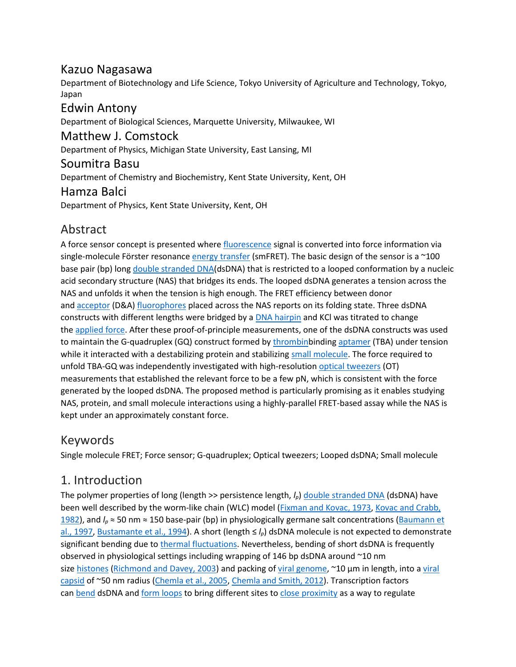#### Kazuo Nagasawa

Department of Biotechnology and Life Science, Tokyo University of Agriculture and Technology, Tokyo, Japan

Edwin Antony Department of Biological Sciences, Marquette University, Milwaukee, WI Matthew J. Comstock Department of Physics, Michigan State University, East Lansing, MI Soumitra Basu Department of Chemistry and Biochemistry, Kent State University, Kent, OH Hamza Balci Department of Physics, Kent State University, Kent, OH

# Abstract

A force sensor concept is presented where [fluorescence](https://www.sciencedirect.com/topics/biochemistry-genetics-and-molecular-biology/fluorescence) signal is converted into force information via single-molecule Förster resonance [energy transfer](https://www.sciencedirect.com/topics/biochemistry-genetics-and-molecular-biology/energy-transfer) (smFRET). The basic design of the sensor is a  $\sim$ 100 base pair (bp) long [double stranded DNA\(](https://www.sciencedirect.com/topics/chemistry/double-stranded-dna)dsDNA) that is restricted to a looped conformation by a nucleic acid secondary structure (NAS) that bridges its ends. The looped dsDNA generates a tension across the NAS and unfolds it when the tension is high enough. The FRET efficiency between donor and [acceptor](https://www.sciencedirect.com/topics/engineering/acceptor) (D&A) [fluorophores](https://www.sciencedirect.com/topics/engineering/fluorophores) placed across the NAS reports on its folding state. Three dsDNA constructs with different lengths were bridged by a **[DNA hairpin](https://www.sciencedirect.com/topics/biochemistry-genetics-and-molecular-biology/dna-hairpin)** and KCI was titrated to change the [applied force.](https://www.sciencedirect.com/topics/engineering/applied-force) After these proof-of-principle measurements, one of the dsDNA constructs was used to maintain the G-quadruplex (GQ) construct formed by [thrombinb](https://www.sciencedirect.com/topics/biochemistry-genetics-and-molecular-biology/thrombin)inding [aptamer](https://www.sciencedirect.com/topics/biochemistry-genetics-and-molecular-biology/aptamer) (TBA) under tension while it interacted with a destabilizing protein and stabilizing [small molecule.](https://www.sciencedirect.com/topics/biochemistry-genetics-and-molecular-biology/small-molecule) The force required to unfold TBA-GQ was independently investigated with high-resolution optical [tweezers](https://www.sciencedirect.com/topics/biochemistry-genetics-and-molecular-biology/optical-tweezers) (OT) measurements that established the relevant force to be a few pN, which is consistent with the force generated by the looped dsDNA. The proposed method is particularly promising as it enables studying NAS, protein, and small molecule interactions using a highly-parallel FRET-based assay while the NAS is kept under an approximately constant force.

# Keywords

Single molecule FRET; Force sensor; G-quadruplex; Optical tweezers; Looped dsDNA; Small molecule

# 1. Introduction

The polymer properties of long (length >> persistence length,  $I_p$ ) [double stranded DNA](https://www.sciencedirect.com/topics/chemistry/double-stranded-dna) (dsDNA) have been well described by the worm-like chain (WLC) model [\(Fixman and Kovac, 1973,](https://www.sciencedirect.com/science/article/pii/S0956566318306821?via%3Dihub#bib8) [Kovac and Crabb,](https://www.sciencedirect.com/science/article/pii/S0956566318306821?via%3Dihub#bib15)  [1982\)](https://www.sciencedirect.com/science/article/pii/S0956566318306821?via%3Dihub#bib15), and *lp* ≈ 50 nm ≈ 150 base-pair (bp) in physiologically germane salt concentrations [\(Baumann et](https://www.sciencedirect.com/science/article/pii/S0956566318306821?via%3Dihub#bib2)  [al., 1997,](https://www.sciencedirect.com/science/article/pii/S0956566318306821?via%3Dihub#bib2) [Bustamante et al., 1994](https://www.sciencedirect.com/science/article/pii/S0956566318306821?via%3Dihub#bib4)). A short (length ≤ *lp*) dsDNA molecule is not expected to demonstrate significant bending due to [thermal fluctuations.](https://www.sciencedirect.com/topics/engineering/thermal-fluctuation) Nevertheless, bending of short dsDNA is frequently observed in physiological settings including wrapping of 146 bp dsDNA around ~10 nm size [histones](https://www.sciencedirect.com/topics/biochemistry-genetics-and-molecular-biology/histone) [\(Richmond and Davey, 2003\)](https://www.sciencedirect.com/science/article/pii/S0956566318306821?via%3Dihub#bib26) and packing of [viral genome](https://www.sciencedirect.com/topics/biochemistry-genetics-and-molecular-biology/virus-genome), ~10 µm in length, into a viral [capsid](https://www.sciencedirect.com/topics/biochemistry-genetics-and-molecular-biology/capsid) of ~50 nm radius [\(Chemla et al., 2005](https://www.sciencedirect.com/science/article/pii/S0956566318306821?via%3Dihub#bib5), [Chemla and Smith, 2012\)](https://www.sciencedirect.com/science/article/pii/S0956566318306821?via%3Dihub#bib6). Transcription factors can [bend](https://www.sciencedirect.com/topics/engineering/bends) dsDNA and [form loops](https://www.sciencedirect.com/topics/engineering/loop-form) to bring different sites to [close proximity](https://www.sciencedirect.com/topics/engineering/close-proximity) as a way to regulate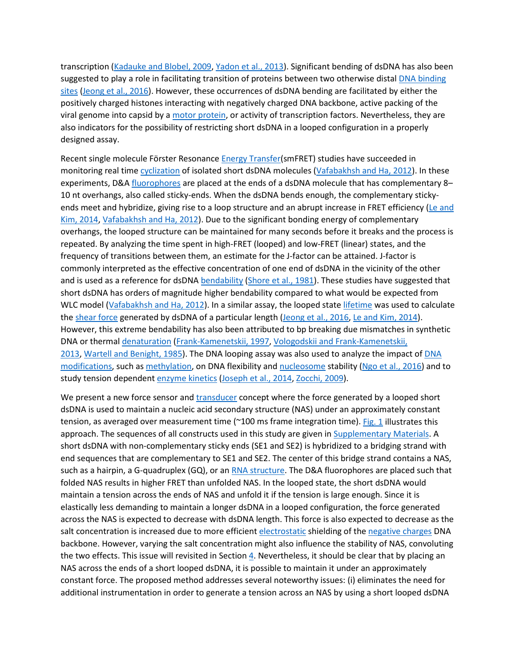transcription [\(Kadauke and Blobel, 2009,](https://www.sciencedirect.com/science/article/pii/S0956566318306821?via%3Dihub#bib14) [Yadon et al., 2013\)](https://www.sciencedirect.com/science/article/pii/S0956566318306821?via%3Dihub#bib36). Significant bending of dsDNA has also been suggested to play a role in facilitating transition of proteins between two otherwise distal [DNA binding](https://www.sciencedirect.com/topics/biochemistry-genetics-and-molecular-biology/dna-binding-site)  [sites](https://www.sciencedirect.com/topics/biochemistry-genetics-and-molecular-biology/dna-binding-site) [\(Jeong et al., 2016\)](https://www.sciencedirect.com/science/article/pii/S0956566318306821?via%3Dihub#bib12). However, these occurrences of dsDNA bending are facilitated by either the positively charged histones interacting with negatively charged DNA backbone, active packing of the viral genome into capsid by a [motor protein,](https://www.sciencedirect.com/topics/biochemistry-genetics-and-molecular-biology/motor-protein) or activity of transcription factors. Nevertheless, they are also indicators for the possibility of restricting short dsDNA in a looped configuration in a properly designed assay.

Recent single molecule Förster Resonance [Energy Transfer\(](https://www.sciencedirect.com/topics/biochemistry-genetics-and-molecular-biology/energy-transfer)smFRET) studies have succeeded in monitoring real time [cyclization](https://www.sciencedirect.com/topics/biochemistry-genetics-and-molecular-biology/cyclization) of isolated short dsDNA molecules [\(Vafabakhsh and Ha, 2012\)](https://www.sciencedirect.com/science/article/pii/S0956566318306821?via%3Dihub#bib31). In these experiments, D&A [fluorophores](https://www.sciencedirect.com/topics/engineering/fluorophores) are placed at the ends of a dsDNA molecule that has complementary 8– 10 nt overhangs, also called sticky-ends. When the dsDNA bends enough, the complementary stickyends meet and hybridize, giving rise to a loop structure and an abrupt increase in FRET efficiency (Le and [Kim, 2014,](https://www.sciencedirect.com/science/article/pii/S0956566318306821?via%3Dihub#bib16) [Vafabakhsh and Ha, 2012\)](https://www.sciencedirect.com/science/article/pii/S0956566318306821?via%3Dihub#bib31). Due to the significant bonding energy of complementary overhangs, the looped structure can be maintained for many seconds before it breaks and the process is repeated. By analyzing the time spent in high-FRET (looped) and low-FRET (linear) states, and the frequency of transitions between them, an estimate for the J-factor can be attained. J-factor is commonly interpreted as the effective concentration of one end of dsDNA in the vicinity of the other and is used as a reference for dsDNA [bendability](https://www.sciencedirect.com/topics/engineering/bendability) [\(Shore et al., 1981\)](https://www.sciencedirect.com/science/article/pii/S0956566318306821?via%3Dihub#bib28). These studies have suggested that short dsDNA has orders of magnitude higher bendability compared to what would be expected from WLC model [\(Vafabakhsh and Ha, 2012\)](https://www.sciencedirect.com/science/article/pii/S0956566318306821?via%3Dihub#bib31). In a similar assay, the looped state [lifetime](https://www.sciencedirect.com/topics/biochemistry-genetics-and-molecular-biology/lifespan) was used to calculate the [shear force](https://www.sciencedirect.com/topics/engineering/shear-force) generated by dsDNA of a particular length [\(Jeong et al., 2016,](https://www.sciencedirect.com/science/article/pii/S0956566318306821?via%3Dihub#bib12) [Le and Kim, 2014\)](https://www.sciencedirect.com/science/article/pii/S0956566318306821?via%3Dihub#bib16). However, this extreme bendability has also been attributed to bp breaking due mismatches in synthetic DNA or thermal [denaturation](https://www.sciencedirect.com/topics/biochemistry-genetics-and-molecular-biology/denaturation) [\(Frank-Kamenetskii, 1997,](https://www.sciencedirect.com/science/article/pii/S0956566318306821?via%3Dihub#bib9) [Vologodskii and Frank-Kamenetskii,](https://www.sciencedirect.com/science/article/pii/S0956566318306821?via%3Dihub#bib32)  [2013,](https://www.sciencedirect.com/science/article/pii/S0956566318306821?via%3Dihub#bib32) [Wartell and Benight, 1985](https://www.sciencedirect.com/science/article/pii/S0956566318306821?via%3Dihub#bib33)). The DNA looping assay was also used to analyze the impact of [DNA](https://www.sciencedirect.com/topics/biochemistry-genetics-and-molecular-biology/dna-modification)  [modifications,](https://www.sciencedirect.com/topics/biochemistry-genetics-and-molecular-biology/dna-modification) such as [methylation,](https://www.sciencedirect.com/topics/biochemistry-genetics-and-molecular-biology/methylation) on DNA flexibility and [nucleosome](https://www.sciencedirect.com/topics/biochemistry-genetics-and-molecular-biology/nucleosome) stability [\(Ngo et al., 2016\)](https://www.sciencedirect.com/science/article/pii/S0956566318306821?via%3Dihub#bib22) and to study tension dependent [enzyme kinetics](https://www.sciencedirect.com/topics/biochemistry-genetics-and-molecular-biology/enzyme-kinetics) [\(Joseph et al., 2014,](https://www.sciencedirect.com/science/article/pii/S0956566318306821?via%3Dihub#bib13) [Zocchi, 2009\)](https://www.sciencedirect.com/science/article/pii/S0956566318306821?via%3Dihub#bib37).

We present a new force sensor and [transducer](https://www.sciencedirect.com/topics/engineering/transducers) concept where the force generated by a looped short dsDNA is used to maintain a nucleic acid secondary structure (NAS) under an approximately constant tension, as averaged over measurement time (~100 ms frame integration time). [Fig. 1](https://www.sciencedirect.com/science/article/pii/S0956566318306821?via%3Dihub#f0005) illustrates this approach. The sequences of all constructs used in this study are given in [Supplementary Materials.](https://www.sciencedirect.com/science/article/pii/S0956566318306821?via%3Dihub#s0055) A short dsDNA with non-complementary sticky ends (SE1 and SE2) is hybridized to a bridging strand with end sequences that are complementary to SE1 and SE2. The center of this bridge strand contains a NAS, such as a hairpin, a G-quadruplex (GQ), or an [RNA structure.](https://www.sciencedirect.com/topics/biochemistry-genetics-and-molecular-biology/rna-structure) The D&A fluorophores are placed such that folded NAS results in higher FRET than unfolded NAS. In the looped state, the short dsDNA would maintain a tension across the ends of NAS and unfold it if the tension is large enough. Since it is elastically less demanding to maintain a longer dsDNA in a looped configuration, the force generated across the NAS is expected to decrease with dsDNA length. This force is also expected to decrease as the salt concentration is increased due to more efficient [electrostatic](https://www.sciencedirect.com/topics/biochemistry-genetics-and-molecular-biology/static-electricity) shielding of the [negative charges](https://www.sciencedirect.com/topics/engineering/negative-charge) DNA backbone. However, varying the salt concentration might also influence the stability of NAS, convoluting the two effects. This issue will revisited in Section  $4$ . Nevertheless, it should be clear that by placing an NAS across the ends of a short looped dsDNA, it is possible to maintain it under an approximately constant force. The proposed method addresses several noteworthy issues: (i) eliminates the need for additional instrumentation in order to generate a tension across an NAS by using a short looped dsDNA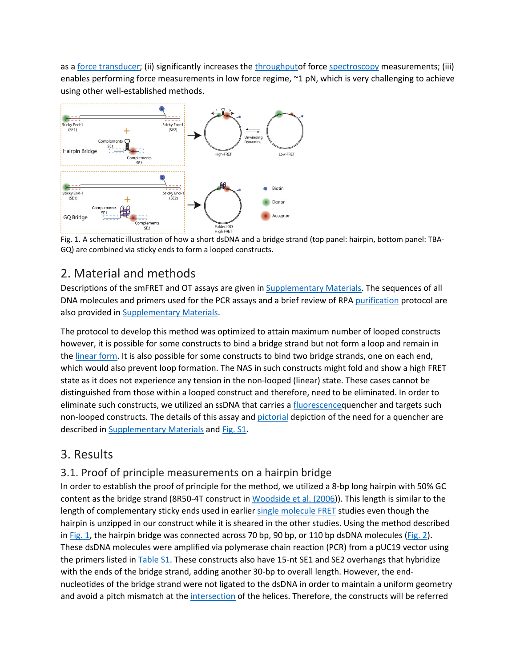as a [force transducer;](https://www.sciencedirect.com/topics/engineering/force-transducer) (ii) significantly increases the [throughputo](https://www.sciencedirect.com/topics/engineering/throughput)f force [spectroscopy](https://www.sciencedirect.com/topics/biochemistry-genetics-and-molecular-biology/spectroscopy) measurements; (iii) enables performing force measurements in low force regime, ~1 pN, which is very challenging to achieve using other well-established methods.



Fig. 1. A schematic illustration of how a short dsDNA and a bridge strand (top panel: hairpin, bottom panel: TBA-GQ) are combined via sticky ends to form a looped constructs.

# 2. Material and methods

Descriptions of the smFRET and OT assays are given in [Supplementary Materials.](https://www.sciencedirect.com/science/article/pii/S0956566318306821?via%3Dihub#s0055) The sequences of all DNA molecules and primers used for the PCR assays and a brief review of RPA [purification](https://www.sciencedirect.com/topics/biochemistry-genetics-and-molecular-biology/copurification) protocol are also provided in [Supplementary Materials.](https://www.sciencedirect.com/science/article/pii/S0956566318306821?via%3Dihub#s0055)

The protocol to develop this method was optimized to attain maximum number of looped constructs however, it is possible for some constructs to bind a bridge strand but not form a loop and remain in the [linear form.](https://www.sciencedirect.com/topics/engineering/linear-form) It is also possible for some constructs to bind two bridge strands, one on each end, which would also prevent loop formation. The NAS in such constructs might fold and show a high FRET state as it does not experience any tension in the non-looped (linear) state. These cases cannot be distinguished from those within a looped construct and therefore, need to be eliminated. In order to eliminate such constructs, we utilized an ssDNA that carries a [fluorescenceq](https://www.sciencedirect.com/topics/biochemistry-genetics-and-molecular-biology/fluorescence)uencher and targets such non-looped constructs. The details of this assay and [pictorial](https://www.sciencedirect.com/topics/engineering/pictorial) depiction of the need for a quencher are described in [Supplementary Materials](https://www.sciencedirect.com/science/article/pii/S0956566318306821?via%3Dihub#s0055) and [Fig. S1.](https://www.sciencedirect.com/science/article/pii/S0956566318306821?via%3Dihub#s0055)

## 3. Results

#### 3.1. Proof of principle measurements on a hairpin bridge

In order to establish the proof of principle for the method, we utilized a 8-bp long hairpin with 50% GC content as the bridge strand (8R50-4T construct in [Woodside et al. \(2006\)](https://www.sciencedirect.com/science/article/pii/S0956566318306821?via%3Dihub#bib35)). This length is similar to the length of complementary sticky ends used in earlier [single molecule FRET](https://www.sciencedirect.com/topics/chemistry/smfret-spectroscopy) studies even though the hairpin is unzipped in our construct while it is sheared in the other studies. Using the method described in [Fig. 1](https://www.sciencedirect.com/science/article/pii/S0956566318306821?via%3Dihub#f0005), the hairpin bridge was connected across 70 bp, 90 bp, or 110 bp dsDNA molecules ([Fig. 2\)](https://www.sciencedirect.com/science/article/pii/S0956566318306821?via%3Dihub#f0010). These dsDNA molecules were amplified via polymerase chain reaction (PCR) from a pUC19 vector using the primers listed in [Table S1](https://www.sciencedirect.com/science/article/pii/S0956566318306821?via%3Dihub#s0055). These constructs also have 15-nt SE1 and SE2 overhangs that hybridize with the ends of the bridge strand, adding another 30-bp to overall length. However, the endnucleotides of the bridge strand were not ligated to the dsDNA in order to maintain a uniform geometry and avoid a pitch mismatch at the [intersection](https://www.sciencedirect.com/topics/engineering/intersections) of the helices. Therefore, the constructs will be referred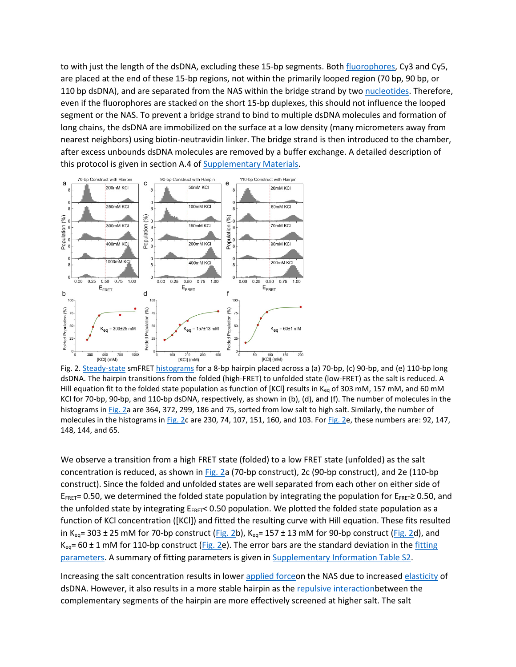to with just the length of the dsDNA, excluding these 15-bp segments. Both [fluorophores](https://www.sciencedirect.com/topics/engineering/fluorophores), Cy3 and Cy5, are placed at the end of these 15-bp regions, not within the primarily looped region (70 bp, 90 bp, or 110 bp dsDNA), and are separated from the NAS within the bridge strand by two [nucleotides.](https://www.sciencedirect.com/topics/chemistry/nucleotide) Therefore, even if the fluorophores are stacked on the short 15-bp duplexes, this should not influence the looped segment or the NAS. To prevent a bridge strand to bind to multiple dsDNA molecules and formation of long chains, the dsDNA are immobilized on the surface at a low density (many micrometers away from nearest neighbors) using biotin-neutravidin linker. The bridge strand is then introduced to the chamber, after excess unbounds dsDNA molecules are removed by a buffer exchange. A detailed description of this protocol is given in section A.4 of [Supplementary Materials.](https://www.sciencedirect.com/science/article/pii/S0956566318306821?via%3Dihub#s0055)



Fig. 2. [Steady-state](https://www.sciencedirect.com/topics/biochemistry-genetics-and-molecular-biology/steady-state) smFRET [histograms](https://www.sciencedirect.com/topics/engineering/histograms) for a 8-bp hairpin placed across a (a) 70-bp, (c) 90-bp, and (e) 110-bp long dsDNA. The hairpin transitions from the folded (high-FRET) to unfolded state (low-FRET) as the salt is reduced. A Hill equation fit to the folded state population as function of [KCl] results in K<sub>eq</sub> of 303 mM, 157 mM, and 60 mM KCl for 70-bp, 90-bp, and 110-bp dsDNA, respectively, as shown in (b), (d), and (f). The number of molecules in the histograms in [Fig. 2](https://www.sciencedirect.com/science/article/pii/S0956566318306821?via%3Dihub#f0010)a are 364, 372, 299, 186 and 75, sorted from low salt to high salt. Similarly, the number of molecules in the histograms in [Fig. 2c](https://www.sciencedirect.com/science/article/pii/S0956566318306821?via%3Dihub#f0010) are 230, 74, 107, 151, 160, and 103. For [Fig. 2e](https://www.sciencedirect.com/science/article/pii/S0956566318306821?via%3Dihub#f0010), these numbers are: 92, 147, 148, 144, and 65.

We observe a transition from a high FRET state (folded) to a low FRET state (unfolded) as the salt concentration is reduced, as shown in [Fig. 2a](https://www.sciencedirect.com/science/article/pii/S0956566318306821?via%3Dihub#f0010) (70-bp construct), 2c (90-bp construct), and 2e (110-bp construct). Since the folded and unfolded states are well separated from each other on either side of  $E_{FRET}$ = 0.50, we determined the folded state population by integrating the population for  $E_{FRET}$ ≥ 0.50, and the unfolded state by integrating EFRET< 0.50 population. We plotted the folded state population as a function of KCl concentration ([KCl]) and fitted the resulting curve with Hill equation. These fits resulted in K<sub>eq</sub>= 303 ± 25 mM for 70-bp construct [\(Fig. 2b](https://www.sciencedirect.com/science/article/pii/S0956566318306821?via%3Dihub#f0010)), K<sub>eq</sub>= 157 ± 13 mM for 90-bp construct [\(Fig. 2d](https://www.sciencedirect.com/science/article/pii/S0956566318306821?via%3Dihub#f0010)), and  $K_{eq}$ = 60 ± 1 mM for 110-bp construct [\(Fig. 2e](https://www.sciencedirect.com/science/article/pii/S0956566318306821?via%3Dihub#f0010)). The error bars are the standard deviation in the fitting [parameters.](https://www.sciencedirect.com/topics/engineering/fitting-parameter) A summary of fitting parameters is given in [Supplementary Information Table S2.](https://www.sciencedirect.com/science/article/pii/S0956566318306821?via%3Dihub#s0055)

Increasing the salt concentration results in lower [applied forceo](https://www.sciencedirect.com/topics/engineering/applied-force)n the NAS due to increased [elasticity](https://www.sciencedirect.com/topics/biochemistry-genetics-and-molecular-biology/elasticity) of dsDNA. However, it also results in a more stable hairpin as the [repulsive interactionb](https://www.sciencedirect.com/topics/engineering/repulsive-interaction)etween the complementary segments of the hairpin are more effectively screened at higher salt. The salt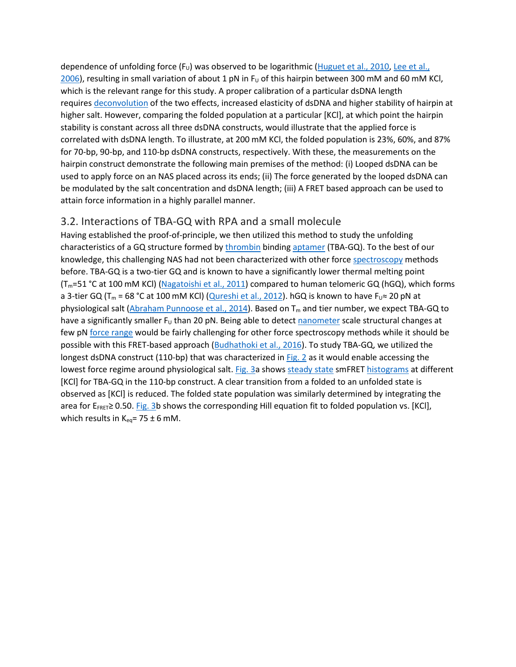dependence of unfolding force  $(F_U)$  was observed to be logarithmic [\(Huguet et al., 2010,](https://www.sciencedirect.com/science/article/pii/S0956566318306821?via%3Dihub#bib10) Lee et al.,  $2006$ ), resulting in small variation of about 1 pN in F<sub>u</sub> of this hairpin between 300 mM and 60 mM KCl, which is the relevant range for this study. A proper calibration of a particular dsDNA length requires [deconvolution](https://www.sciencedirect.com/topics/engineering/deconvolution) of the two effects, increased elasticity of dsDNA and higher stability of hairpin at higher salt. However, comparing the folded population at a particular [KCl], at which point the hairpin stability is constant across all three dsDNA constructs, would illustrate that the applied force is correlated with dsDNA length. To illustrate, at 200 mM KCl, the folded population is 23%, 60%, and 87% for 70-bp, 90-bp, and 110-bp dsDNA constructs, respectively. With these, the measurements on the hairpin construct demonstrate the following main premises of the method: (i) Looped dsDNA can be used to apply force on an NAS placed across its ends; (ii) The force generated by the looped dsDNA can be modulated by the salt concentration and dsDNA length; (iii) A FRET based approach can be used to attain force information in a highly parallel manner.

#### 3.2. Interactions of TBA-GQ with RPA and a small molecule

Having established the proof-of-principle, we then utilized this method to study the unfolding characteristics of a GQ structure formed by [thrombin](https://www.sciencedirect.com/topics/biochemistry-genetics-and-molecular-biology/thrombin) binding [aptamer](https://www.sciencedirect.com/topics/biochemistry-genetics-and-molecular-biology/aptamer) (TBA-GQ). To the best of our knowledge, this challenging NAS had not been characterized with other force [spectroscopy](https://www.sciencedirect.com/topics/biochemistry-genetics-and-molecular-biology/spectroscopy) methods before. TBA-GQ is a two-tier GQ and is known to have a significantly lower thermal melting point (Tm=51 °C at 100 mM KCl) ([Nagatoishi et al., 2011\)](https://www.sciencedirect.com/science/article/pii/S0956566318306821?via%3Dihub#bib21) compared to human telomeric GQ (hGQ), which forms a 3-tier GQ (T<sub>m</sub> = 68 °C at 100 mM KCl) [\(Qureshi et al., 2012\)](https://www.sciencedirect.com/science/article/pii/S0956566318306821?via%3Dihub#bib24). hGQ is known to have F<sub>U</sub>  $\approx$  20 pN at physiological salt [\(Abraham Punnoose et al., 2014\)](https://www.sciencedirect.com/science/article/pii/S0956566318306821?via%3Dihub#bib1). Based on T<sub>m</sub> and tier number, we expect TBA-GQ to have a significantly smaller  $F_U$  than 20 pN. Being able to detect [nanometer](https://www.sciencedirect.com/topics/engineering/nanometer) scale structural changes at few pN [force range](https://www.sciencedirect.com/topics/engineering/range-force) would be fairly challenging for other force spectroscopy methods while it should be possible with this FRET-based approach [\(Budhathoki et al., 2016\)](https://www.sciencedirect.com/science/article/pii/S0956566318306821?via%3Dihub#bib3). To study TBA-GQ, we utilized the longest dsDNA construct (110-bp) that was characterized in [Fig. 2](https://www.sciencedirect.com/science/article/pii/S0956566318306821?via%3Dihub#f0010) as it would enable accessing the lowest force regime around physiological salt. [Fig. 3a](https://www.sciencedirect.com/science/article/pii/S0956566318306821?via%3Dihub#f0015) shows [steady state](https://www.sciencedirect.com/topics/biochemistry-genetics-and-molecular-biology/steady-state) smFRET [histograms](https://www.sciencedirect.com/topics/engineering/histograms) at different [KCl] for TBA-GQ in the 110-bp construct. A clear transition from a folded to an unfolded state is observed as [KCl] is reduced. The folded state population was similarly determined by integrating the area for  $E_{FRET} \ge 0.50$ . [Fig. 3b](https://www.sciencedirect.com/science/article/pii/S0956566318306821?via%3Dihub#f0015) shows the corresponding Hill equation fit to folded population vs. [KCl], which results in  $K_{eq}$ = 75 ± 6 mM.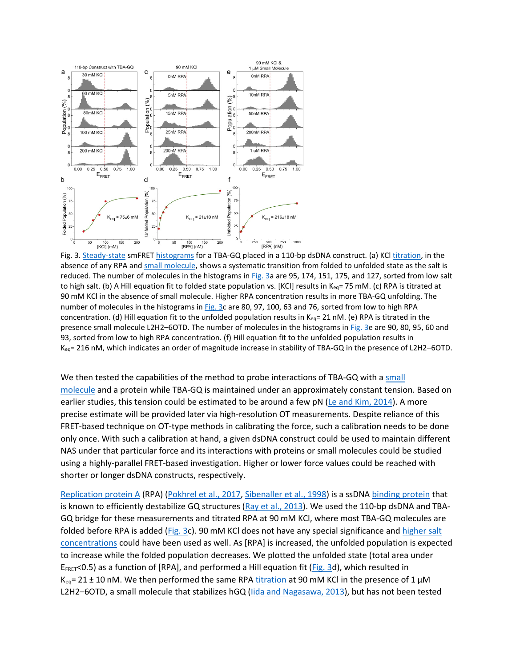

Fig. 3. [Steady-state](https://www.sciencedirect.com/topics/biochemistry-genetics-and-molecular-biology/steady-state) smFRET [histograms](https://www.sciencedirect.com/topics/engineering/histograms) for a TBA-GQ placed in a 110-bp dsDNA construct. (a) KCl [titration,](https://www.sciencedirect.com/topics/engineering/titration) in the absence of any RPA and [small molecule,](https://www.sciencedirect.com/topics/biochemistry-genetics-and-molecular-biology/small-molecule) shows a systematic transition from folded to unfolded state as the salt is reduced. The number of molecules in the histograms in [Fig. 3](https://www.sciencedirect.com/science/article/pii/S0956566318306821?via%3Dihub#f0015)a are 95, 174, 151, 175, and 127, sorted from low salt to high salt. (b) A Hill equation fit to folded state population vs. [KCl] results in K<sub>eq</sub>= 75 mM. (c) RPA is titrated at 90 mM KCl in the absence of small molecule. Higher RPA concentration results in more TBA-GQ unfolding. The number of molecules in the histograms in [Fig. 3c](https://www.sciencedirect.com/science/article/pii/S0956566318306821?via%3Dihub#f0015) are 80, 97, 100, 63 and 76, sorted from low to high RPA concentration. (d) Hill equation fit to the unfolded population results in Keq= 21 nM. (e) RPA is titrated in the presence small molecule L2H2–6OTD. The number of molecules in the histograms in [Fig. 3](https://www.sciencedirect.com/science/article/pii/S0956566318306821?via%3Dihub#f0015)e are 90, 80, 95, 60 and 93, sorted from low to high RPA concentration. (f) Hill equation fit to the unfolded population results in Keq= 216 nM, which indicates an order of magnitude increase in stability of TBA-GQ in the presence of L2H2–6OTD.

We then tested the capabilities of the method to probe interactions of TBA-GQ with a small [molecule](https://www.sciencedirect.com/topics/biochemistry-genetics-and-molecular-biology/small-molecule) and a protein while TBA-GQ is maintained under an approximately constant tension. Based on earlier studies, this tension could be estimated to be around a few pN [\(Le and Kim, 2014\)](https://www.sciencedirect.com/science/article/pii/S0956566318306821?via%3Dihub#bib16). A more precise estimate will be provided later via high-resolution OT measurements. Despite reliance of this FRET-based technique on OT-type methods in calibrating the force, such a calibration needs to be done only once. With such a calibration at hand, a given dsDNA construct could be used to maintain different NAS under that particular force and its interactions with proteins or small molecules could be studied using a highly-parallel FRET-based investigation. Higher or lower force values could be reached with shorter or longer dsDNA constructs, respectively.

[Replication protein A](https://www.sciencedirect.com/topics/biochemistry-genetics-and-molecular-biology/replication-protein-a) (RPA) [\(Pokhrel et al., 2017,](https://www.sciencedirect.com/science/article/pii/S0956566318306821?via%3Dihub#bib23) [Sibenaller et al., 1998\)](https://www.sciencedirect.com/science/article/pii/S0956566318306821?via%3Dihub#bib29) is a ssDNA [binding protein](https://www.sciencedirect.com/topics/biochemistry-genetics-and-molecular-biology/binding-protein) that is known to efficiently destabilize GQ structures [\(Ray et al., 2013\)](https://www.sciencedirect.com/science/article/pii/S0956566318306821?via%3Dihub#bib25). We used the 110-bp dsDNA and TBA-GQ bridge for these measurements and titrated RPA at 90 mM KCl, where most TBA-GQ molecules are folded before RPA is added [\(Fig. 3](https://www.sciencedirect.com/science/article/pii/S0956566318306821?via%3Dihub#f0015)c). 90 mM KCl does not have any special significance and higher salt [concentrations](https://www.sciencedirect.com/topics/engineering/high-salt-concentration) could have been used as well. As [RPA] is increased, the unfolded population is expected to increase while the folded population decreases. We plotted the unfolded state (total area under  $E_{FRET}$ <0.5) as a function of [RPA], and performed a Hill equation fit ( $Fig. 3d$ ), which resulted in  $K_{eq}$ = 21 ± 10 nM. We then performed the same RPA [titration](https://www.sciencedirect.com/topics/engineering/titration) at 90 mM KCl in the presence of 1  $\mu$ M L2H2-6OTD, a small molecule that stabilizes hGQ (lida and Nagasawa, 2013), but has not been tested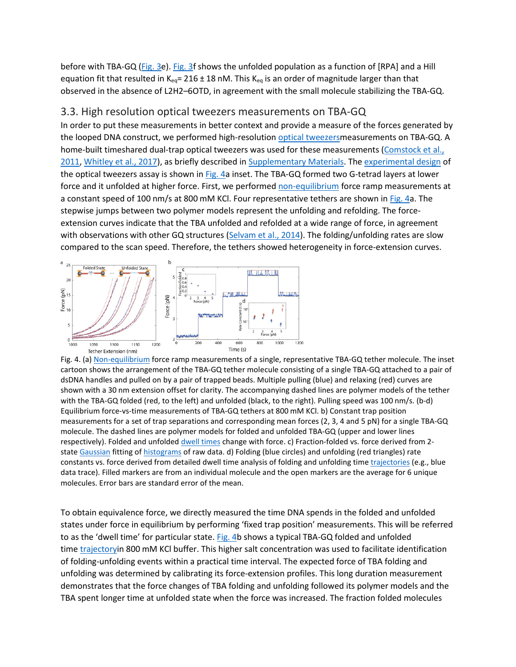before with TBA-GQ [\(Fig. 3e](https://www.sciencedirect.com/science/article/pii/S0956566318306821?via%3Dihub#f0015)). [Fig. 3f](https://www.sciencedirect.com/science/article/pii/S0956566318306821?via%3Dihub#f0015) shows the unfolded population as a function of [RPA] and a Hill equation fit that resulted in  $K_{eq}$ = 216 ± 18 nM. This  $K_{eq}$  is an order of magnitude larger than that observed in the absence of L2H2–6OTD, in agreement with the small molecule stabilizing the TBA-GQ.

#### 3.3. High resolution optical tweezers measurements on TBA-GQ

In order to put these measurements in better context and provide a measure of the forces generated by the looped DNA construct, we performed high-resolution [optical tweezersm](https://www.sciencedirect.com/topics/biochemistry-genetics-and-molecular-biology/optical-tweezers)easurements on TBA-GQ. A home-built timeshared dual-trap optical tweezers was used for these measurements [\(Comstock et al.,](https://www.sciencedirect.com/science/article/pii/S0956566318306821?via%3Dihub#bib7)  [2011,](https://www.sciencedirect.com/science/article/pii/S0956566318306821?via%3Dihub#bib7) [Whitley et al., 2017\)](https://www.sciencedirect.com/science/article/pii/S0956566318306821?via%3Dihub#bib34), as briefly described in [Supplementary Materials.](https://www.sciencedirect.com/science/article/pii/S0956566318306821?via%3Dihub#s0055) The [experimental design](https://www.sciencedirect.com/topics/engineering/design-of-experiments) of the optical tweezers assay is shown in [Fig. 4a](https://www.sciencedirect.com/science/article/pii/S0956566318306821?via%3Dihub#f0020) inset. The TBA-GQ formed two G-tetrad layers at lower force and it unfolded at higher force. First, we performed [non-equilibrium](https://www.sciencedirect.com/topics/engineering/nonequilibrium) force ramp measurements at a constant speed of 100 nm/s at 800 mM KCl. Four representative tethers are shown in [Fig. 4a](https://www.sciencedirect.com/science/article/pii/S0956566318306821?via%3Dihub#f0020). The stepwise jumps between two polymer models represent the unfolding and refolding. The forceextension curves indicate that the TBA unfolded and refolded at a wide range of force, in agreement with observations with other GQ structures [\(Selvam et al., 2014\)](https://www.sciencedirect.com/science/article/pii/S0956566318306821?via%3Dihub#bib27). The folding/unfolding rates are slow compared to the scan speed. Therefore, the tethers showed heterogeneity in force-extension curves.



Fig. 4. (a) [Non-equilibrium](https://www.sciencedirect.com/topics/engineering/nonequilibrium) force ramp measurements of a single, representative TBA-GQ tether molecule. The inset cartoon shows the arrangement of the TBA-GQ tether molecule consisting of a single TBA-GQ attached to a pair of dsDNA handles and pulled on by a pair of trapped beads. Multiple pulling (blue) and relaxing (red) curves are shown with a 30 nm extension offset for clarity. The accompanying dashed lines are polymer models of the tether with the TBA-GQ folded (red, to the left) and unfolded (black, to the right). Pulling speed was 100 nm/s. (b-d) Equilibrium force-vs-time measurements of TBA-GQ tethers at 800 mM KCl. b) Constant trap position measurements for a set of trap separations and corresponding mean forces (2, 3, 4 and 5 pN) for a single TBA-GQ molecule. The dashed lines are polymer models for folded and unfolded TBA-GQ (upper and lower lines respectively). Folded and unfolded [dwell times](https://www.sciencedirect.com/topics/biochemistry-genetics-and-molecular-biology/dwell-time) change with force. c) Fraction-folded vs. force derived from 2- state [Gaussian](https://www.sciencedirect.com/topics/engineering/gaussians) fitting of [histograms](https://www.sciencedirect.com/topics/engineering/histograms) of raw data. d) Folding (blue circles) and unfolding (red triangles) rate constants vs. force derived from detailed dwell time analysis of folding and unfolding time [trajectories](https://www.sciencedirect.com/topics/engineering/trajectories) (e.g., blue data trace). Filled markers are from an individual molecule and the open markers are the average for 6 unique molecules. Error bars are standard error of the mean.

To obtain equivalence force, we directly measured the time DNA spends in the folded and unfolded states under force in equilibrium by performing 'fixed trap position' measurements. This will be referred to as the 'dwell time' for particular state. [Fig. 4b](https://www.sciencedirect.com/science/article/pii/S0956566318306821?via%3Dihub#f0020) shows a typical TBA-GQ folded and unfolded time [trajectory](https://www.sciencedirect.com/topics/engineering/trajectories)in 800 mM KCl buffer. This higher salt concentration was used to facilitate identification of folding-unfolding events within a practical time interval. The expected force of TBA folding and unfolding was determined by calibrating its force-extension profiles. This long duration measurement demonstrates that the force changes of TBA folding and unfolding followed its polymer models and the TBA spent longer time at unfolded state when the force was increased. The fraction folded molecules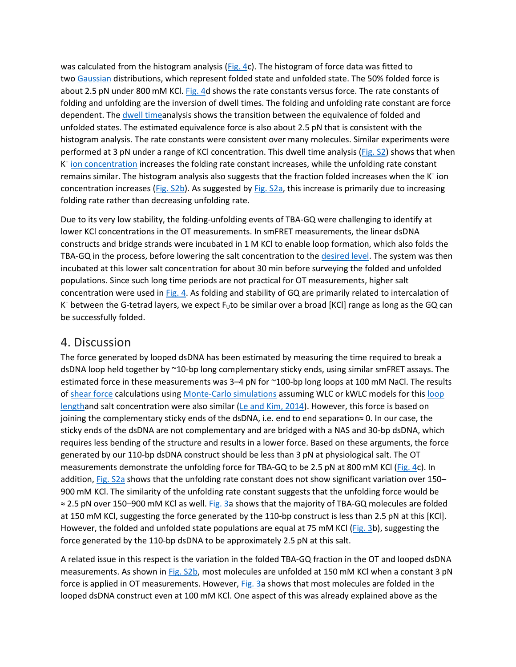was calculated from the histogram analysis [\(Fig. 4c](https://www.sciencedirect.com/science/article/pii/S0956566318306821?via%3Dihub#f0020)). The histogram of force data was fitted to two [Gaussian](https://www.sciencedirect.com/topics/engineering/gaussians) distributions, which represent folded state and unfolded state. The 50% folded force is about 2.5 pN under 800 mM KCl. [Fig. 4d](https://www.sciencedirect.com/science/article/pii/S0956566318306821?via%3Dihub#f0020) shows the rate constants versus force. The rate constants of folding and unfolding are the inversion of dwell times. The folding and unfolding rate constant are force dependent. The [dwell timea](https://www.sciencedirect.com/topics/biochemistry-genetics-and-molecular-biology/dwell-time)nalysis shows the transition between the equivalence of folded and unfolded states. The estimated equivalence force is also about 2.5 pN that is consistent with the histogram analysis. The rate constants were consistent over many molecules. Similar experiments were performed at 3 pN under a range of KCl concentration. This dwell time analysis ([Fig. S2\)](https://www.sciencedirect.com/science/article/pii/S0956566318306821?via%3Dihub#s0055) shows that when K<sup>+</sup> [ion concentration](https://www.sciencedirect.com/topics/engineering/ion-concentration) increases the folding rate constant increases, while the unfolding rate constant remains similar. The histogram analysis also suggests that the fraction folded increases when the K<sup>+</sup> ion concentration increases [\(Fig. S2b\)](https://www.sciencedirect.com/science/article/pii/S0956566318306821?via%3Dihub#s0055). As suggested by [Fig. S2a,](https://www.sciencedirect.com/science/article/pii/S0956566318306821?via%3Dihub#s0055) this increase is primarily due to increasing folding rate rather than decreasing unfolding rate.

Due to its very low stability, the folding-unfolding events of TBA-GQ were challenging to identify at lower KCl concentrations in the OT measurements. In smFRET measurements, the linear dsDNA constructs and bridge strands were incubated in 1 M KCl to enable loop formation, which also folds the TBA-GQ in the process, before lowering the salt concentration to the [desired level.](https://www.sciencedirect.com/topics/engineering/desired-level) The system was then incubated at this lower salt concentration for about 30 min before surveying the folded and unfolded populations. Since such long time periods are not practical for OT measurements, higher salt concentration were used in [Fig. 4.](https://www.sciencedirect.com/science/article/pii/S0956566318306821?via%3Dihub#f0020) As folding and stability of GQ are primarily related to intercalation of K<sup>+</sup> between the G-tetrad layers, we expect F<sub>U</sub>to be similar over a broad [KCI] range as long as the GQ can be successfully folded.

#### 4. Discussion

The force generated by looped dsDNA has been estimated by measuring the time required to break a dsDNA loop held together by ~10-bp long complementary sticky ends, using similar smFRET assays. The estimated force in these measurements was 3–4 pN for ~100-bp long loops at 100 mM NaCl. The results of [shear force](https://www.sciencedirect.com/topics/engineering/shear-force) calculations using [Monte-Carlo simulations](https://www.sciencedirect.com/topics/chemistry/monte-carlo-method) assuming WLC or kWLC models for this [loop](https://www.sciencedirect.com/topics/engineering/loop-length)  [lengtha](https://www.sciencedirect.com/topics/engineering/loop-length)nd salt concentration were also similar [\(Le and Kim, 2014\)](https://www.sciencedirect.com/science/article/pii/S0956566318306821?via%3Dihub#bib16). However, this force is based on joining the complementary sticky ends of the dsDNA, i.e. end to end separation≈ 0. In our case, the sticky ends of the dsDNA are not complementary and are bridged with a NAS and 30-bp dsDNA, which requires less bending of the structure and results in a lower force. Based on these arguments, the force generated by our 110-bp dsDNA construct should be less than 3 pN at physiological salt. The OT measurements demonstrate the unfolding force for TBA-GQ to be 2.5 pN at 800 mM KCl ([Fig. 4c](https://www.sciencedirect.com/science/article/pii/S0956566318306821?via%3Dihub#f0020)). In addition, [Fig. S2a](https://www.sciencedirect.com/science/article/pii/S0956566318306821?via%3Dihub#s0055) shows that the unfolding rate constant does not show significant variation over 150– 900 mM KCl. The similarity of the unfolding rate constant suggests that the unfolding force would be ≈ 2.5 pN over 150–900 mM KCl as well. [Fig. 3a](https://www.sciencedirect.com/science/article/pii/S0956566318306821?via%3Dihub#f0015) shows that the majority of TBA-GQ molecules are folded at 150 mM KCl, suggesting the force generated by the 110-bp construct is less than 2.5 pN at this [KCl]. However, the folded and unfolded state populations are equal at 75 mM KCl ([Fig. 3b](https://www.sciencedirect.com/science/article/pii/S0956566318306821?via%3Dihub#f0015)), suggesting the force generated by the 110-bp dsDNA to be approximately 2.5 pN at this salt.

A related issue in this respect is the variation in the folded TBA-GQ fraction in the OT and looped dsDNA measurements. As shown in [Fig. S2b](https://www.sciencedirect.com/science/article/pii/S0956566318306821?via%3Dihub#s0055), most molecules are unfolded at 150 mM KCl when a constant 3 pN force is applied in OT measurements. However, [Fig. 3a](https://www.sciencedirect.com/science/article/pii/S0956566318306821?via%3Dihub#f0015) shows that most molecules are folded in the looped dsDNA construct even at 100 mM KCl. One aspect of this was already explained above as the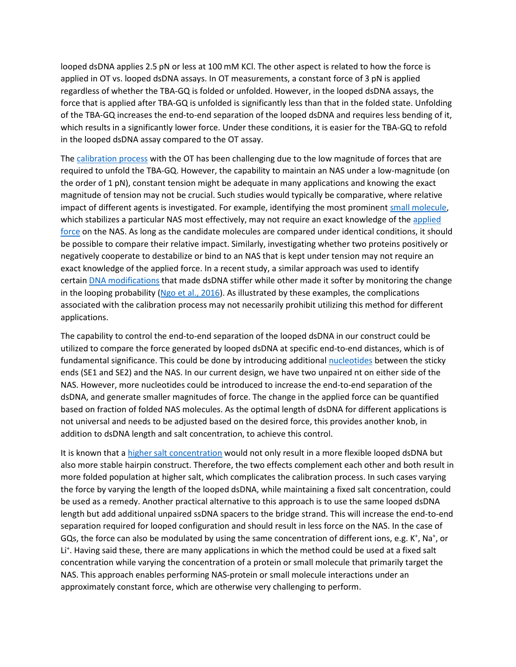looped dsDNA applies 2.5 pN or less at 100 mM KCl. The other aspect is related to how the force is applied in OT vs. looped dsDNA assays. In OT measurements, a constant force of 3 pN is applied regardless of whether the TBA-GQ is folded or unfolded. However, in the looped dsDNA assays, the force that is applied after TBA-GQ is unfolded is significantly less than that in the folded state. Unfolding of the TBA-GQ increases the end-to-end separation of the looped dsDNA and requires less bending of it, which results in a significantly lower force. Under these conditions, it is easier for the TBA-GQ to refold in the looped dsDNA assay compared to the OT assay.

The [calibration process](https://www.sciencedirect.com/topics/engineering/calibration-process) with the OT has been challenging due to the low magnitude of forces that are required to unfold the TBA-GQ. However, the capability to maintain an NAS under a low-magnitude (on the order of 1 pN), constant tension might be adequate in many applications and knowing the exact magnitude of tension may not be crucial. Such studies would typically be comparative, where relative impact of different agents is investigated. For example, identifying the most prominent [small molecule,](https://www.sciencedirect.com/topics/biochemistry-genetics-and-molecular-biology/small-molecule) which stabilizes a particular NAS most effectively, may not require an exact knowledge of the applied [force](https://www.sciencedirect.com/topics/engineering/applied-force) on the NAS. As long as the candidate molecules are compared under identical conditions, it should be possible to compare their relative impact. Similarly, investigating whether two proteins positively or negatively cooperate to destabilize or bind to an NAS that is kept under tension may not require an exact knowledge of the applied force. In a recent study, a similar approach was used to identify certain [DNA modifications](https://www.sciencedirect.com/topics/biochemistry-genetics-and-molecular-biology/dna-modification) that made dsDNA stiffer while other made it softer by monitoring the change in the looping probability [\(Ngo et al., 2016\)](https://www.sciencedirect.com/science/article/pii/S0956566318306821?via%3Dihub#bib22). As illustrated by these examples, the complications associated with the calibration process may not necessarily prohibit utilizing this method for different applications.

The capability to control the end-to-end separation of the looped dsDNA in our construct could be utilized to compare the force generated by looped dsDNA at specific end-to-end distances, which is of fundamental significance. This could be done by introducing additional [nucleotides](https://www.sciencedirect.com/topics/chemistry/nucleotide) between the sticky ends (SE1 and SE2) and the NAS. In our current design, we have two unpaired nt on either side of the NAS. However, more nucleotides could be introduced to increase the end-to-end separation of the dsDNA, and generate smaller magnitudes of force. The change in the applied force can be quantified based on fraction of folded NAS molecules. As the optimal length of dsDNA for different applications is not universal and needs to be adjusted based on the desired force, this provides another knob, in addition to dsDNA length and salt concentration, to achieve this control.

It is known that a [higher salt concentration](https://www.sciencedirect.com/topics/engineering/high-salt-concentration) would not only result in a more flexible looped dsDNA but also more stable hairpin construct. Therefore, the two effects complement each other and both result in more folded population at higher salt, which complicates the calibration process. In such cases varying the force by varying the length of the looped dsDNA, while maintaining a fixed salt concentration, could be used as a remedy. Another practical alternative to this approach is to use the same looped dsDNA length but add additional unpaired ssDNA spacers to the bridge strand. This will increase the end-to-end separation required for looped configuration and should result in less force on the NAS. In the case of GQs, the force can also be modulated by using the same concentration of different ions, e.g. K<sup>+</sup>, Na<sup>+</sup>, or Li<sup>+</sup>. Having said these, there are many applications in which the method could be used at a fixed salt concentration while varying the concentration of a protein or small molecule that primarily target the NAS. This approach enables performing NAS-protein or small molecule interactions under an approximately constant force, which are otherwise very challenging to perform.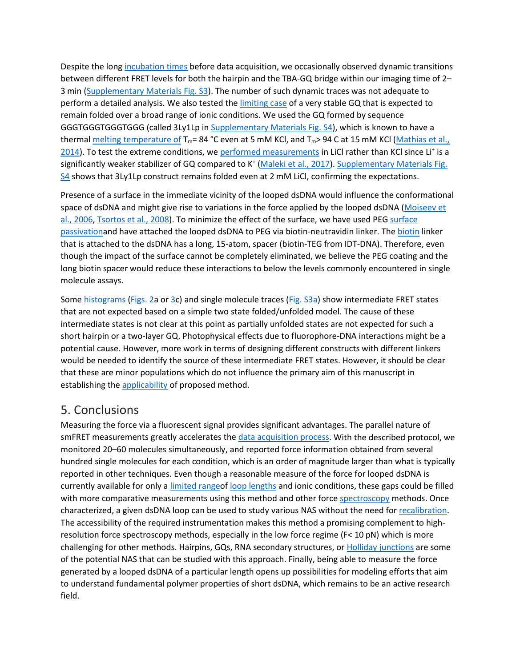Despite the long [incubation times](https://www.sciencedirect.com/topics/biochemistry-genetics-and-molecular-biology/incubation-time) before data acquisition, we occasionally observed dynamic transitions between different FRET levels for both the hairpin and the TBA-GQ bridge within our imaging time of 2– 3 min ([Supplementary Materials Fig. S3\)](https://www.sciencedirect.com/science/article/pii/S0956566318306821?via%3Dihub#s0055). The number of such dynamic traces was not adequate to perform a detailed analysis. We also tested the [limiting case](https://www.sciencedirect.com/topics/engineering/limiting-case) of a very stable GQ that is expected to remain folded over a broad range of ionic conditions. We used the GQ formed by sequence GGGTGGGTGGGTGGG (called 3Ly1Lp in [Supplementary Materials Fig. S4\)](https://www.sciencedirect.com/science/article/pii/S0956566318306821?via%3Dihub#s0055), which is known to have a thermal [melting temperature of](https://www.sciencedirect.com/topics/biochemistry-genetics-and-molecular-biology/melting-temperature)  $T_m=84 °C$  even at 5 mM KCl, and  $T_m>94 C$  at 15 mM KCl (Mathias et al., [2014\)](https://www.sciencedirect.com/science/article/pii/S0956566318306821?via%3Dihub#bib19). To test the extreme conditions, we [performed measurements](https://www.sciencedirect.com/topics/engineering/performed-measurement) in LiCl rather than KCl since Li<sup>+</sup> is a significantly weaker stabilizer of GQ compared to K<sup>+</sup> [\(Maleki et al., 2017\)](https://www.sciencedirect.com/science/article/pii/S0956566318306821?via%3Dihub#bib18). Supplementary Materials Fig. [S4](https://www.sciencedirect.com/science/article/pii/S0956566318306821?via%3Dihub#s0055) shows that 3Ly1Lp construct remains folded even at 2 mM LiCl, confirming the expectations.

Presence of a surface in the immediate vicinity of the looped dsDNA would influence the conformational space of dsDNA and might give rise to variations in the force applied by the looped dsDNA (Moiseev et [al., 2006,](https://www.sciencedirect.com/science/article/pii/S0956566318306821?via%3Dihub#bib20) [Tsortos et al., 2008\)](https://www.sciencedirect.com/science/article/pii/S0956566318306821?via%3Dihub#bib30). To minimize the effect of the surface, we have used PEG [surface](https://www.sciencedirect.com/topics/engineering/surface-passivation)  [passivationa](https://www.sciencedirect.com/topics/engineering/surface-passivation)nd have attached the looped dsDNA to PEG via biotin-neutravidin linker. The [biotin](https://www.sciencedirect.com/topics/biochemistry-genetics-and-molecular-biology/biotin) linker that is attached to the dsDNA has a long, 15-atom, spacer (biotin-TEG from IDT-DNA). Therefore, even though the impact of the surface cannot be completely eliminated, we believe the PEG coating and the long biotin spacer would reduce these interactions to below the levels commonly encountered in single molecule assays.

Some [histograms](https://www.sciencedirect.com/topics/engineering/histograms) [\(Figs. 2a](https://www.sciencedirect.com/science/article/pii/S0956566318306821?via%3Dihub#f0010) or [3c](https://www.sciencedirect.com/science/article/pii/S0956566318306821?via%3Dihub#f0015)) and single molecule traces [\(Fig. S3a\)](https://www.sciencedirect.com/science/article/pii/S0956566318306821?via%3Dihub#s0055) show intermediate FRET states that are not expected based on a simple two state folded/unfolded model. The cause of these intermediate states is not clear at this point as partially unfolded states are not expected for such a short hairpin or a two-layer GQ. Photophysical effects due to fluorophore-DNA interactions might be a potential cause. However, more work in terms of designing different constructs with different linkers would be needed to identify the source of these intermediate FRET states. However, it should be clear that these are minor populations which do not influence the primary aim of this manuscript in establishing the [applicability](https://www.sciencedirect.com/topics/engineering/applicability) of proposed method.

#### 5. Conclusions

Measuring the force via a fluorescent signal provides significant advantages. The parallel nature of smFRET measurements greatly accelerates the [data acquisition process.](https://www.sciencedirect.com/topics/engineering/data-acquisition-process) With the described protocol, we monitored 20–60 molecules simultaneously, and reported force information obtained from several hundred single molecules for each condition, which is an order of magnitude larger than what is typically reported in other techniques. Even though a reasonable measure of the force for looped dsDNA is currently available for only a [limited rangeo](https://www.sciencedirect.com/topics/engineering/limited-range)f [loop lengths](https://www.sciencedirect.com/topics/engineering/loop-length) and ionic conditions, these gaps could be filled with more comparative measurements using this method and other force [spectroscopy](https://www.sciencedirect.com/topics/biochemistry-genetics-and-molecular-biology/spectroscopy) methods. Once characterized, a given dsDNA loop can be used to study various NAS without the need for [recalibration.](https://www.sciencedirect.com/topics/engineering/recalibration) The accessibility of the required instrumentation makes this method a promising complement to highresolution force spectroscopy methods, especially in the low force regime (F< 10 pN) which is more challenging for other methods. Hairpins, GQs, RNA secondary structures, or [Holliday junctions](https://www.sciencedirect.com/topics/biochemistry-genetics-and-molecular-biology/holliday-junction) are some of the potential NAS that can be studied with this approach. Finally, being able to measure the force generated by a looped dsDNA of a particular length opens up possibilities for modeling efforts that aim to understand fundamental polymer properties of short dsDNA, which remains to be an active research field.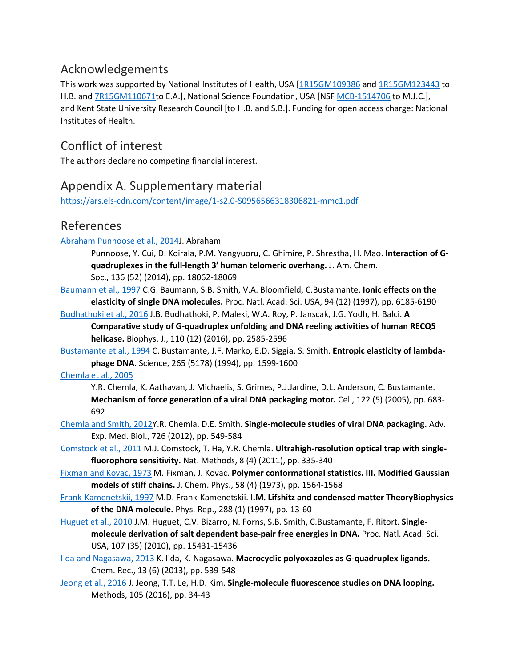### Acknowledgements

This work was supported by National Institutes of Health, USA [[1R15GM109386](https://www.sciencedirect.com/science/article/pii/S0956566318306821?via%3Dihub#gs4) and [1R15GM123443](https://www.sciencedirect.com/science/article/pii/S0956566318306821?via%3Dihub#gs4) to H.B. and [7R15GM110671](https://www.sciencedirect.com/science/article/pii/S0956566318306821?via%3Dihub#gs4)to E.A.], National Science Foundation, USA [NSF MCB-[1514706](https://www.sciencedirect.com/science/article/pii/S0956566318306821?via%3Dihub#gs2) to M.J.C.], and Kent State University Research Council [to H.B. and S.B.]. Funding for open access charge: National Institutes of Health.

## Conflict of interest

The authors declare no competing financial interest.

## Appendix A. Supplementary material

[https://ars.els-cdn.com/content/image/1-s2.0-](https://ars.els-cdn.com/content/image/1-s2.0-S0956566318306821-mmc1.pdf)S0956566318306821-mmc1.pdf

#### References

#### [Abraham Punnoose et al., 2014J](https://www.sciencedirect.com/science/article/pii/S0956566318306821?via%3Dihub#bbib1). Abraham

Punnoose, Y. Cui, D. Koirala, P.M. Yangyuoru, C. Ghimire, P. Shrestha, H. Mao. **Interaction of Gquadruplexes in the full-length 3′ human telomeric overhang.** J. Am. Chem.

Soc., 136 (52) (2014), pp. 18062-18069

[Baumann et al., 1997](https://www.sciencedirect.com/science/article/pii/S0956566318306821?via%3Dihub#bbib2) C.G. Baumann, S.B. Smith, V.A. Bloomfield, C.Bustamante. **Ionic effects on the elasticity of single DNA molecules.** Proc. Natl. Acad. Sci. USA, 94 (12) (1997), pp. 6185-6190

[Budhathoki et al., 2016](https://www.sciencedirect.com/science/article/pii/S0956566318306821?via%3Dihub#bbib3) J.B. Budhathoki, P. Maleki, W.A. Roy, P. Janscak, J.G. Yodh, H. Balci. **A** 

**Comparative study of G-quadruplex unfolding and DNA reeling activities of human RECQ5 helicase.** Biophys. J., 110 (12) (2016), pp. 2585-2596

[Bustamante et al., 1994](https://www.sciencedirect.com/science/article/pii/S0956566318306821?via%3Dihub#bbib4) C. Bustamante, J.F. Marko, E.D. Siggia, S. Smith. **Entropic elasticity of lambdaphage DNA.** Science, 265 (5178) (1994), pp. 1599-1600

#### [Chemla et al., 2005](https://www.sciencedirect.com/science/article/pii/S0956566318306821?via%3Dihub#bbib5)

Y.R. Chemla, K. Aathavan, J. Michaelis, S. Grimes, P.J.Jardine, D.L. Anderson, C. Bustamante. **Mechanism of force generation of a viral DNA packaging motor.** Cell, 122 (5) (2005), pp. 683- 692

[Chemla and Smith, 2012Y](https://www.sciencedirect.com/science/article/pii/S0956566318306821?via%3Dihub#bbib6).R. Chemla, D.E. Smith. **Single-molecule studies of viral DNA packaging.** Adv. Exp. Med. Biol., 726 (2012), pp. 549-584

- [Comstock et al., 2011](https://www.sciencedirect.com/science/article/pii/S0956566318306821?via%3Dihub#bbib7) M.J. Comstock, T. Ha, Y.R. Chemla. **Ultrahigh-resolution optical trap with singlefluorophore sensitivity.** Nat. Methods, 8 (4) (2011), pp. 335-340
- [Fixman and Kovac, 1973](https://www.sciencedirect.com/science/article/pii/S0956566318306821?via%3Dihub#bbib8) M. Fixman, J. Kovac. **Polymer conformational statistics. III. Modified Gaussian models of stiff chains.** J. Chem. Phys., 58 (4) (1973), pp. 1564-1568
- [Frank-Kamenetskii, 1997](https://www.sciencedirect.com/science/article/pii/S0956566318306821?via%3Dihub#bbib9) M.D. Frank-Kamenetskii. **I.M. Lifshitz and condensed matter TheoryBiophysics of the DNA molecule.** Phys. Rep., 288 (1) (1997), pp. 13-60
- [Huguet et al., 2010](https://www.sciencedirect.com/science/article/pii/S0956566318306821?via%3Dihub#bbib10) J.M. Huguet, C.V. Bizarro, N. Forns, S.B. Smith, C.Bustamante, F. Ritort. **Singlemolecule derivation of salt dependent base-pair free energies in DNA.** Proc. Natl. Acad. Sci. USA, 107 (35) (2010), pp. 15431-15436
- [Iida and Nagasawa, 2013](https://www.sciencedirect.com/science/article/pii/S0956566318306821?via%3Dihub#bbib11) K. Iida, K. Nagasawa. **Macrocyclic polyoxazoles as G-quadruplex ligands.**  Chem. Rec., 13 (6) (2013), pp. 539-548
- [Jeong et al., 2016](https://www.sciencedirect.com/science/article/pii/S0956566318306821?via%3Dihub#bbib12) J. Jeong, T.T. Le, H.D. Kim. **Single-molecule fluorescence studies on DNA looping.**  Methods, 105 (2016), pp. 34-43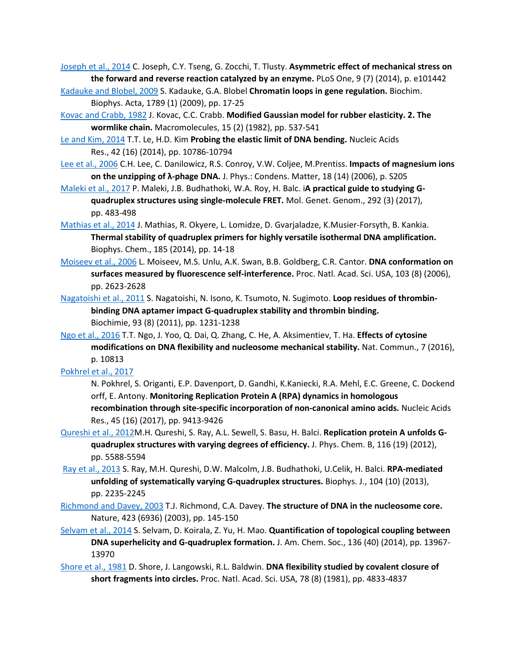[Joseph et al., 2014](https://www.sciencedirect.com/science/article/pii/S0956566318306821?via%3Dihub#bbib13) C. Joseph, C.Y. Tseng, G. Zocchi, T. Tlusty. **Asymmetric effect of mechanical stress on the forward and reverse reaction catalyzed by an enzyme.** PLoS One, 9 (7) (2014), p. e101442

[Kadauke and Blobel, 2009](https://www.sciencedirect.com/science/article/pii/S0956566318306821?via%3Dihub#bbib14) S. Kadauke, G.A. Blobel **Chromatin loops in gene regulation.** Biochim. Biophys. Acta, 1789 (1) (2009), pp. 17-25

[Kovac and Crabb, 1982](https://www.sciencedirect.com/science/article/pii/S0956566318306821?via%3Dihub#bbib15) J. Kovac, C.C. Crabb. **Modified Gaussian model for rubber elasticity. 2. The wormlike chain.** Macromolecules, 15 (2) (1982), pp. 537-541

[Le and Kim, 2014](https://www.sciencedirect.com/science/article/pii/S0956566318306821?via%3Dihub#bbib16) T.T. Le, H.D. Kim **Probing the elastic limit of DNA bending.** Nucleic Acids Res., 42 (16) (2014), pp. 10786-10794

[Lee et al., 2006](https://www.sciencedirect.com/science/article/pii/S0956566318306821?via%3Dihub#bbib17) C.H. Lee, C. Danilowicz, R.S. Conroy, V.W. Coljee, M.Prentiss. **Impacts of magnesium ions on the unzipping of λ-phage DNA.** J. Phys.: Condens. Matter, 18 (14) (2006), p. S205

[Maleki et al., 2017](https://www.sciencedirect.com/science/article/pii/S0956566318306821?via%3Dihub#bbib18) P. Maleki, J.B. Budhathoki, W.A. Roy, H. Balc. i**A practical guide to studying Gquadruplex structures using single-molecule FRET.** Mol. Genet. Genom., 292 (3) (2017), pp. 483-498

[Mathias et al., 2014](https://www.sciencedirect.com/science/article/pii/S0956566318306821?via%3Dihub#bbib19) J. Mathias, R. Okyere, L. Lomidze, D. Gvarjaladze, K.Musier-Forsyth, B. Kankia. **Thermal stability of quadruplex primers for highly versatile isothermal DNA amplification.**  Biophys. Chem., 185 (2014), pp. 14-18

[Moiseev et al., 2006](https://www.sciencedirect.com/science/article/pii/S0956566318306821?via%3Dihub#bbib20) L. Moiseev, M.S. Unlu, A.K. Swan, B.B. Goldberg, C.R. Cantor. **DNA conformation on surfaces measured by fluorescence self-interference.** Proc. Natl. Acad. Sci. USA, 103 (8) (2006), pp. 2623-2628

[Nagatoishi et al., 2011](https://www.sciencedirect.com/science/article/pii/S0956566318306821?via%3Dihub#bbib21) S. Nagatoishi, N. Isono, K. Tsumoto, N. Sugimoto. **Loop residues of thrombinbinding DNA aptamer impact G-quadruplex stability and thrombin binding.**  Biochimie, 93 (8) (2011), pp. 1231-1238

[Ngo et al., 2016](https://www.sciencedirect.com/science/article/pii/S0956566318306821?via%3Dihub#bbib22) T.T. Ngo, J. Yoo, Q. Dai, Q. Zhang, C. He, A. Aksimentiev, T. Ha. **Effects of cytosine modifications on DNA flexibility and nucleosome mechanical stability.** Nat. Commun., 7 (2016), p. 10813

[Pokhrel et al., 2017](https://www.sciencedirect.com/science/article/pii/S0956566318306821?via%3Dihub#bbib23)

N. Pokhrel, S. Origanti, E.P. Davenport, D. Gandhi, K.Kaniecki, R.A. Mehl, E.C. Greene, C. Dockend orff, E. Antony. **Monitoring Replication Protein A (RPA) dynamics in homologous recombination through site-specific incorporation of non-canonical amino acids.** Nucleic Acids Res., 45 (16) (2017), pp. 9413-9426

[Qureshi et al., 2012M](https://www.sciencedirect.com/science/article/pii/S0956566318306821?via%3Dihub#bbib24).H. Qureshi, S. Ray, A.L. Sewell, S. Basu, H. Balci. **Replication protein A unfolds Gquadruplex structures with varying degrees of efficiency.** J. Phys. Chem. B, 116 (19) (2012), pp. 5588-5594

[Ray et al., 2013](https://www.sciencedirect.com/science/article/pii/S0956566318306821?via%3Dihub#bbib25) S. Ray, M.H. Qureshi, D.W. Malcolm, J.B. Budhathoki, U.Celik, H. Balci. **RPA-mediated unfolding of systematically varying G-quadruplex structures.** Biophys. J., 104 (10) (2013), pp. 2235-2245

[Richmond and Davey, 2003](https://www.sciencedirect.com/science/article/pii/S0956566318306821?via%3Dihub#bbib26) T.J. Richmond, C.A. Davey. **The structure of DNA in the nucleosome core.**  Nature, 423 (6936) (2003), pp. 145-150

[Selvam et al., 2014](https://www.sciencedirect.com/science/article/pii/S0956566318306821?via%3Dihub#bbib27) S. Selvam, D. Koirala, Z. Yu, H. Mao. **Quantification of topological coupling between DNA superhelicity and G-quadruplex formation.** J. Am. Chem. Soc., 136 (40) (2014), pp. 13967- 13970

[Shore et al., 1981](https://www.sciencedirect.com/science/article/pii/S0956566318306821?via%3Dihub#bbib28) D. Shore, J. Langowski, R.L. Baldwin. **DNA flexibility studied by covalent closure of short fragments into circles.** Proc. Natl. Acad. Sci. USA, 78 (8) (1981), pp. 4833-4837